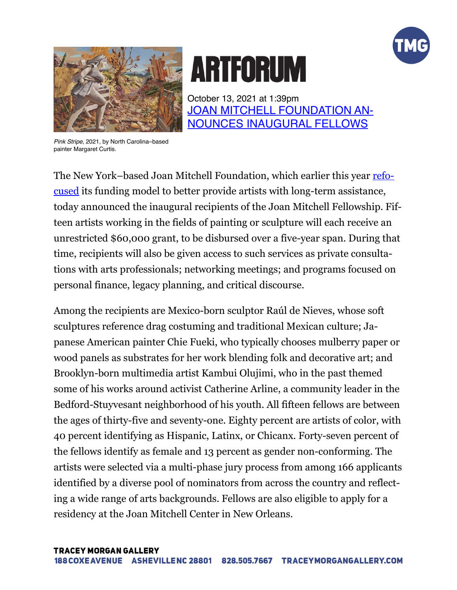



## **ARTFORUM**

October 13, 2021 at 1:39pm [JOAN MITCHELL FOUNDATION AN](https://www.artforum.com/news/joan-mitchell-foundation-announces-inaugural-fellows-86915)-[NOUNCES INAUGURAL FELLOWS](https://www.artforum.com/news/joan-mitchell-foundation-announces-inaugural-fellows-86915)

*Pink Stripe*, 2021, by North Carolina–based painter Margaret Curtis.

The New York–based Joan Mitchell Foundation, which earlier this year [refo](https://www.artforum.com/news/joan-mitchell-foundation-launches-new-artist-fellowship-84989)[cused](https://www.artforum.com/news/joan-mitchell-foundation-launches-new-artist-fellowship-84989) its funding model to better provide artists with long-term assistance, today announced the inaugural recipients of the Joan Mitchell Fellowship. Fifteen artists working in the fields of painting or sculpture will each receive an unrestricted \$60,000 grant, to be disbursed over a five-year span. During that time, recipients will also be given access to such services as private consultations with arts professionals; networking meetings; and programs focused on personal finance, legacy planning, and critical discourse.

Among the recipients are Mexico-born sculptor Raúl de Nieves, whose soft sculptures reference drag costuming and traditional Mexican culture; Japanese American painter Chie Fueki, who typically chooses mulberry paper or wood panels as substrates for her work blending folk and decorative art; and Brooklyn-born multimedia artist Kambui Olujimi, who in the past themed some of his works around activist Catherine Arline, a community leader in the Bedford-Stuyvesant neighborhood of his youth. All fifteen fellows are between the ages of thirty-five and seventy-one. Eighty percent are artists of color, with 40 percent identifying as Hispanic, Latinx, or Chicanx. Forty-seven percent of the fellows identify as female and 13 percent as gender non-conforming. The artists were selected via a multi-phase jury process from among 166 applicants identified by a diverse pool of nominators from across the country and reflecting a wide range of arts backgrounds. Fellows are also eligible to apply for a residency at the Joan Mitchell Center in New Orleans.